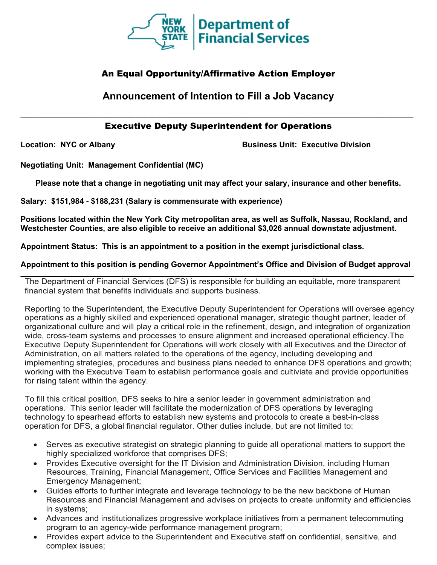

## An Equal Opportunity/Affirmative Action Employer

# **Announcement of Intention to Fill a Job Vacancy**

## **\_\_\_\_\_\_\_\_\_\_\_\_\_\_\_\_\_\_\_\_\_\_\_\_\_\_\_\_\_\_\_\_\_\_\_\_\_\_\_\_\_\_\_\_\_\_\_\_\_\_\_\_\_\_\_\_\_\_\_\_\_\_\_\_\_\_\_\_\_\_\_\_\_\_\_\_\_\_\_\_\_\_\_\_\_\_\_\_\_\_\_\_\_\_\_\_\_\_\_** Executive Deputy Superintendent for Operations

**Location: NYC or Albany Business Unit: Executive Division**

**Negotiating Unit: Management Confidential (MC)**

**Please note that a change in negotiating unit may affect your salary, insurance and other benefits.**

**Salary: \$151,984 - \$188,231 (Salary is commensurate with experience)**

**Positions located within the New York City metropolitan area, as well as Suffolk, Nassau, Rockland, and Westchester Counties, are also eligible to receive an additional \$3,026 annual downstate adjustment.**

**Appointment Status: This is an appointment to a position in the exempt jurisdictional class.**

**Appointment to this position is pending Governor Appointment's Office and Division of Budget approval \_\_\_\_\_\_\_\_\_\_\_\_\_\_\_\_\_\_\_\_\_\_\_\_\_\_\_\_\_\_\_\_\_\_\_\_\_\_\_\_\_\_\_\_\_\_\_\_\_\_\_\_\_\_\_\_\_\_\_\_\_\_\_\_\_\_\_\_\_\_\_\_\_\_\_\_\_\_\_\_\_\_\_\_\_\_\_\_\_\_\_\_\_\_\_\_\_\_\_**

The Department of Financial Services (DFS) is responsible for building an equitable, more transparent financial system that benefits individuals and supports business.

Reporting to the Superintendent, the Executive Deputy Superintendent for Operations will oversee agency operations as a highly skilled and experienced operational manager, strategic thought partner, leader of organizational culture and will play a critical role in the refinement, design, and integration of organization wide, cross-team systems and processes to ensure alignment and increased operational efficiency.The Executive Deputy Superintendent for Operations will work closely with all Executives and the Director of Administration, on all matters related to the operations of the agency, including developing and implementing strategies, procedures and business plans needed to enhance DFS operations and growth; working with the Executive Team to establish performance goals and cultiviate and provide opportunities for rising talent within the agency.

To fill this critical position, DFS seeks to hire a senior leader in government administration and operations. This senior leader will facilitate the modernization of DFS operations by leveraging technology to spearhead efforts to establish new systems and protocols to create a best-in-class operation for DFS, a global financial regulator. Other duties include, but are not limited to:

- Serves as executive strategist on strategic planning to guide all operational matters to support the highly specialized workforce that comprises DFS;
- Provides Executive oversight for the IT Division and Administration Division, including Human Resources, Training, Financial Management, Office Services and Facilities Management and Emergency Management;
- Guides efforts to further integrate and leverage technology to be the new backbone of Human Resources and Financial Management and advises on projects to create uniformity and efficiencies in systems;
- Advances and institutionalizes progressive workplace initiatives from a permanent telecommuting program to an agency-wide performance management program;
- Provides expert advice to the Superintendent and Executive staff on confidential, sensitive, and complex issues;